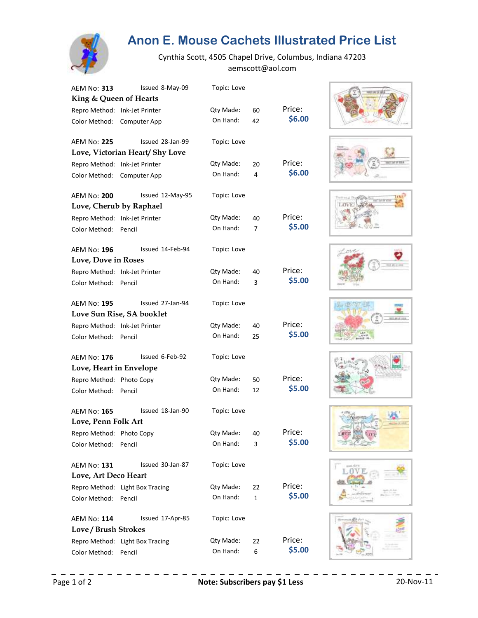

## **Anon E. Mouse Cachets Illustrated Price List**

Cynthia Scott, 4505 Chapel Drive, Columbus, Indiana 47203 aemscott@aol.com

| AEM No: 313                   | Issued 8-May-09                 | Topic: Love  |              |        |
|-------------------------------|---------------------------------|--------------|--------------|--------|
| King & Queen of Hearts        |                                 |              |              |        |
| Repro Method: Ink-Jet Printer |                                 | Qty Made:    | 60           | Price: |
| Color Method:                 | Computer App                    | On Hand:     | 42           | \$6.00 |
| <b>AEM No: 225</b>            | Issued 28-Jan-99                | Topic: Love  |              |        |
|                               | Love, Victorian Heart/ Shy Love |              |              |        |
| Repro Method: Ink-Jet Printer |                                 | Qty Made:    | 20           | Price: |
| Color Method:                 | Computer App                    | On Hand:     | 4            | \$6.00 |
| <b>AEM No: 200</b>            | Issued 12-May-95                | Topic: Love  |              |        |
|                               | Love, Cherub by Raphael         |              |              |        |
| Repro Method: Ink-Jet Printer |                                 | Qty Made:    | 40           | Price: |
| Color Method:                 | Pencil                          | On Hand:     | 7            | \$5.00 |
| AEM No: <b>196</b>            | Issued 14-Feb-94                | Topic: Love  |              |        |
| Love, Dove in Roses           |                                 |              |              |        |
| Repro Method: Ink-Jet Printer |                                 | Qty Made:    | 40           | Price: |
| Color Method:                 | Pencil                          | On Hand:     | 3            | \$5.00 |
| AEM No: 195                   | Issued 27-Jan-94                | Topic: Love  |              |        |
|                               | Love Sun Rise, SA booklet       |              |              |        |
| Repro Method: Ink-Jet Printer |                                 | Qty Made:    | 40           | Price: |
| Color Method:                 | Pencil                          | On Hand:     | 25           | \$5.00 |
| AEM No: 176                   | Issued 6-Feb-92                 | Topic: Love  |              |        |
| Love, Heart in Envelope       |                                 |              |              |        |
| Repro Method: Photo Copy      |                                 | Qty Made:    | 50           | Price: |
| Color Method:                 | Pencil                          | On Hand:     | 12           | \$5.00 |
| <b>AEM No: 165</b>            | Issued 18-Jan-90                | Topic: Love  |              |        |
| Love, Penn Folk Art           |                                 |              |              |        |
| Repro Method: Photo Copy      |                                 | Qty Made: 40 |              | Price: |
| Color Method:                 | Pencil                          | On Hand:     | 3            | \$5.00 |
| <b>AEM No: 131</b>            | Issued 30-Jan-87                | Topic: Love  |              |        |
| Love, Art Deco Heart          |                                 |              |              |        |
|                               | Repro Method: Light Box Tracing | Qty Made:    | 22           | Price: |
| Color Method:                 | Pencil                          | On Hand:     | $\mathbf{1}$ | \$5.00 |
| <b>AEM No: 114</b>            | Issued 17-Apr-85                | Topic: Love  |              |        |
| Love / Brush Strokes          |                                 |              |              |        |
|                               | Repro Method: Light Box Tracing | Qty Made:    | 22           | Price: |
| Color Method:                 | Pencil                          | On Hand:     | 6            | \$5.00 |